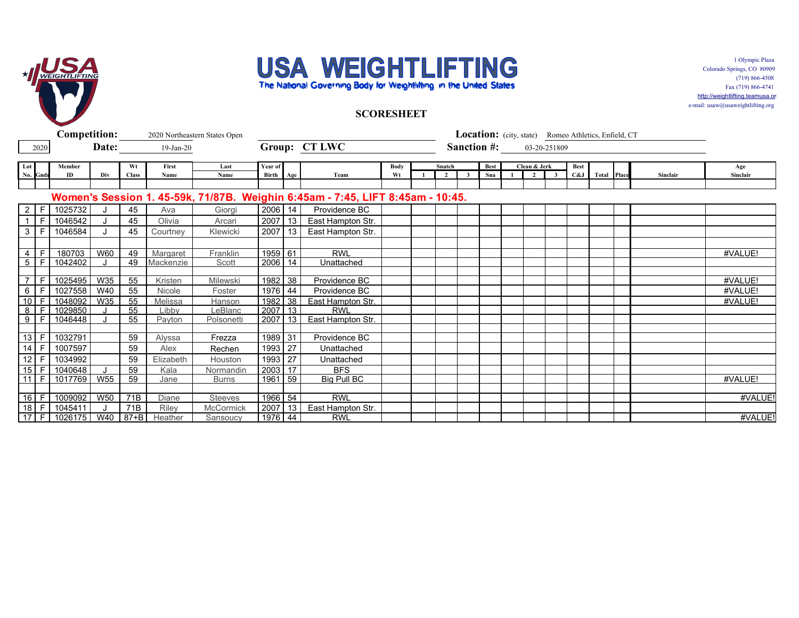



1 Olympic Plaza Colorado Springs, CO 80909 (719) 866-4508 Fax (719) 866-4741 http://weightlifting.teamusa.org

e-mail: usaw@usaweightlifting.org

**SCORESHEET**

|                 | <b>Competition:</b> |              |            | 2020 Northeastern States Open | Location: (city, state) Romeo Athletics, Enfield, CT |                |           |     |                                                                                |             |  |        |              |                    |  |                |                         |             |                    |  |          |          |
|-----------------|---------------------|--------------|------------|-------------------------------|------------------------------------------------------|----------------|-----------|-----|--------------------------------------------------------------------------------|-------------|--|--------|--------------|--------------------|--|----------------|-------------------------|-------------|--------------------|--|----------|----------|
|                 | 2020                |              | Date:      |                               | $19$ -Jan-20                                         |                |           |     | Group: CT LWC                                                                  |             |  |        |              | <b>Sanction #:</b> |  | 03-20-251809   |                         |             |                    |  |          |          |
|                 |                     |              |            |                               |                                                      |                |           |     |                                                                                |             |  |        |              |                    |  |                |                         |             |                    |  |          |          |
| Lot             |                     | Member       |            | Wt                            | First                                                | Last           | Year of   |     |                                                                                | <b>Body</b> |  | Snatch |              | Best               |  | Clean & Jerk   |                         | <b>Best</b> |                    |  |          | Age      |
|                 | No. Gndr            | ID           | Div        | <b>Class</b>                  | Name                                                 | Name           | Birth Age |     | Team                                                                           | Wt          |  |        | $\mathbf{3}$ | Sna                |  | $\overline{2}$ | $\overline{\mathbf{3}}$ | C&J         | <b>Total Place</b> |  | Sinclair | Sinclair |
|                 |                     |              |            |                               |                                                      |                |           |     |                                                                                |             |  |        |              |                    |  |                |                         |             |                    |  |          |          |
|                 |                     |              |            |                               |                                                      |                |           |     | Women's Session 1. 45-59k, 71/87B. Weighin 6:45am - 7:45, LIFT 8:45am - 10:45. |             |  |        |              |                    |  |                |                         |             |                    |  |          |          |
| $\overline{2}$  | -F                  | 1025732      |            | 45                            | Ava                                                  | Giorgi         | 2006      | 14  | Providence BC                                                                  |             |  |        |              |                    |  |                |                         |             |                    |  |          |          |
| $\overline{1}$  | E                   | 1046542      |            | 45                            | Olivia                                               | Arcari         | 2007      | 13  | East Hampton Str.                                                              |             |  |        |              |                    |  |                |                         |             |                    |  |          |          |
| $\mathbf{3}$    | F.                  | 1046584      |            | 45                            | Courtney                                             | Klewicki       | 2007      | 13  | East Hampton Str.                                                              |             |  |        |              |                    |  |                |                         |             |                    |  |          |          |
|                 |                     |              |            |                               |                                                      |                |           |     |                                                                                |             |  |        |              |                    |  |                |                         |             |                    |  |          |          |
| 4               | $\mathsf{F}$        | 180703       | W60        | 49                            | Margaret                                             | Franklin       | 1959 61   |     | <b>RWL</b>                                                                     |             |  |        |              |                    |  |                |                         |             |                    |  |          | #VALUE!  |
|                 | $5 \mid F$          | 1042402      |            | 49                            | Mackenzie                                            | Scott          | 2006      | 14  | Unattached                                                                     |             |  |        |              |                    |  |                |                         |             |                    |  |          |          |
|                 |                     |              |            |                               |                                                      |                |           |     |                                                                                |             |  |        |              |                    |  |                |                         |             |                    |  |          |          |
| $\overline{7}$  | F                   | 1025495      | W35        | 55                            | Kristen                                              | Milewski       | 1982      | 38  | Providence BC                                                                  |             |  |        |              |                    |  |                |                         |             |                    |  |          | #VALUE!  |
| $6\overline{6}$ | E                   | 1027558      | W40        | 55                            | Nicole                                               | Foster         | 1976      | 44  | Providence BC                                                                  |             |  |        |              |                    |  |                |                         |             |                    |  |          | #VALUE!  |
| 10              | F                   | 1048092      | W35        | 55                            | Melissa                                              | Hanson         | 1982      | 38  | East Hampton Str.                                                              |             |  |        |              |                    |  |                |                         |             |                    |  |          | #VALUE!  |
| 8               |                     | 1029850      |            | 55<br>55                      | Libby                                                | LeBlanc        | 2007      | 13  | <b>RWL</b>                                                                     |             |  |        |              |                    |  |                |                         |             |                    |  |          |          |
|                 | 9 F                 | 1046448      |            |                               | Payton                                               | Polsonetti     | 2007      | 13  | East Hampton Str.                                                              |             |  |        |              |                    |  |                |                         |             |                    |  |          |          |
|                 | $13$ F              | 1032791      |            | 59                            | Alyssa                                               | Frezza         | 1989      | -31 | Providence BC                                                                  |             |  |        |              |                    |  |                |                         |             |                    |  |          |          |
| 14              | F                   | 1007597      |            | 59                            | Alex                                                 | Rechen         | 1993      | 27  | Unattached                                                                     |             |  |        |              |                    |  |                |                         |             |                    |  |          |          |
| 12              | IF.                 | 1034992      |            | 59                            | Elizabeth                                            | Houston        | 1993      | 27  | Unattached                                                                     |             |  |        |              |                    |  |                |                         |             |                    |  |          |          |
|                 |                     | 15 F 1040648 |            | 59                            | Kala                                                 | Normandin      | 2003      | 17  | <b>BFS</b>                                                                     |             |  |        |              |                    |  |                |                         |             |                    |  |          |          |
|                 |                     | 11 F 1017769 | <b>W55</b> | 59                            | Jane                                                 | <b>Burns</b>   | 1961      | 59  | <b>Big Pull BC</b>                                                             |             |  |        |              |                    |  |                |                         |             |                    |  |          | #VALUE!  |
|                 |                     |              |            |                               |                                                      |                |           |     |                                                                                |             |  |        |              |                    |  |                |                         |             |                    |  |          |          |
|                 |                     | 16 F 1009092 | W50        | 71B                           | Diane                                                | <b>Steeves</b> | 1966 54   |     | <b>RWL</b>                                                                     |             |  |        |              |                    |  |                |                         |             |                    |  |          | #VALUE!  |
| $18$ F          |                     | 1045411      |            | 71B                           | <b>Riley</b>                                         | McCormick      | 2007      | 13  | East Hampton Str.                                                              |             |  |        |              |                    |  |                |                         |             |                    |  |          |          |
|                 |                     | 17 F 1026175 | W40        | $87 + B$                      | Heather                                              | Sansoucy       | 1976 44   |     | <b>RWL</b>                                                                     |             |  |        |              |                    |  |                |                         |             |                    |  |          | #VALUE!  |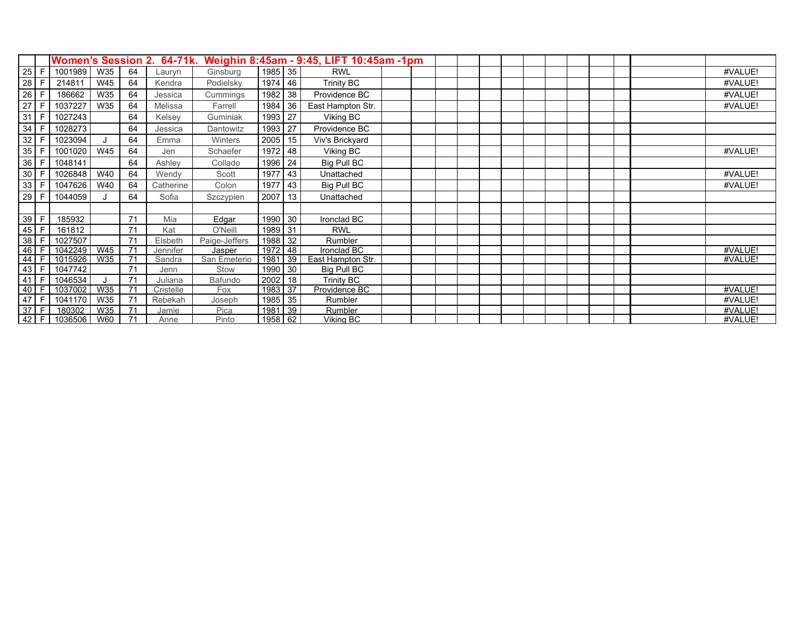|        |             |         |            |    | Women's Session 2. 64-71k. |               |      |    | Weighin 8:45am - 9:45, LIFT 10:45am -1pm |  |  |  |  |  |  |         |
|--------|-------------|---------|------------|----|----------------------------|---------------|------|----|------------------------------------------|--|--|--|--|--|--|---------|
| 25     | F.          | 1001989 | W35        | 64 | Lauryn                     | Ginsburg      | 1985 | 35 | <b>RWL</b>                               |  |  |  |  |  |  | #VALUE! |
| 28     | E           | 214811  | W45        | 64 | Kendra                     | Podielsky     | 1974 | 46 | Trinity BC                               |  |  |  |  |  |  | #VALUE! |
| 26     | F.          | 186662  | W35        | 64 | Jessica                    | Cummings      | 1982 | 38 | Providence BC                            |  |  |  |  |  |  | #VALUE! |
| 27     | F.          | 1037227 | W35        | 64 | Melissa                    | Farrell       | 1984 | 36 | East Hampton Str.                        |  |  |  |  |  |  | #VALUE! |
| 31     | F           | 1027243 |            | 64 | Kelsey                     | Guminiak      | 1993 | 27 | Viking BC                                |  |  |  |  |  |  |         |
| 34     | F           | 1028273 |            | 64 | Jessica                    | Dantowitz     | 1993 | 27 | Providence BC                            |  |  |  |  |  |  |         |
| 32     | F           | 1023094 |            | 64 | Emma                       | Winters       | 2005 | 15 | Viv's Brickyard                          |  |  |  |  |  |  |         |
| 35     | F           | 1001020 | <b>W45</b> | 64 | Jen                        | Schaefer      | 1972 | 48 | Viking BC                                |  |  |  |  |  |  | #VALUE! |
| 36     | E           | 1048141 |            | 64 | Ashley                     | Collado       | 1996 | 24 | Big Pull BC                              |  |  |  |  |  |  |         |
| 30     | F.          | 1026848 | W40        | 64 | Wendy                      | Scott         | 1977 | 43 | Unattached                               |  |  |  |  |  |  | #VALUE! |
| 33     | F.          | 1047626 | W40        | 64 | Catherine                  | Colon         | 1977 | 43 | Big Pull BC                              |  |  |  |  |  |  | #VALUE! |
| 29     | E           | 1044059 |            | 64 | Sofia                      | Szczypien     | 2007 | 13 | Unattached                               |  |  |  |  |  |  |         |
|        |             |         |            |    |                            |               |      |    |                                          |  |  |  |  |  |  |         |
| 39     | F           | 185932  |            | 71 | Mia                        | Edgar         | 1990 | 30 | Ironclad BC                              |  |  |  |  |  |  |         |
| 45     | $\mathsf F$ | 161812  |            | 71 | Kat                        | O'Neill       | 1989 | 31 | <b>RWL</b>                               |  |  |  |  |  |  |         |
| 38     | F           | 1027507 |            | 71 | Elsbeth                    | Paige-Jeffers | 1988 | 32 | Rumbler                                  |  |  |  |  |  |  |         |
| 46     | F           | 1042249 | W45        | 71 | Jennifer                   | Jasper        | 1972 | 48 | Ironclad BC                              |  |  |  |  |  |  | #VALUE! |
| 44     | E           | 1015926 | W35        | 71 | Sandra                     | San Emeterio  | 1981 | 39 | East Hampton Str.                        |  |  |  |  |  |  | #VALUE! |
| 43     | F           | 1047742 |            | 71 | Jenn                       | Stow          | 1990 | 30 | Big Pull BC                              |  |  |  |  |  |  |         |
| 41     | F           | 1046534 |            | 71 | Juliana                    | Bafundo       | 2002 | 18 | Trinity BC                               |  |  |  |  |  |  |         |
| 40     | -F          | 1037002 | W35        | 71 | Cristelle                  | <b>Fox</b>    | 1983 | 37 | Providence BC                            |  |  |  |  |  |  | #VALUE! |
| 47     | E           | 1041170 | W35        | 71 | Rebekah                    | Joseph        | 1985 | 35 | Rumbler                                  |  |  |  |  |  |  | #VALUE! |
| 37     | E           | 180302  | W35        | 71 | Jamie                      | Pica          | 1981 | 39 | Rumbler                                  |  |  |  |  |  |  | #VALUE! |
| $42$ F |             | 1036506 | W60        | 71 | Anne                       | Pinto         | 1958 | 62 | Viking BC                                |  |  |  |  |  |  | #VALUE! |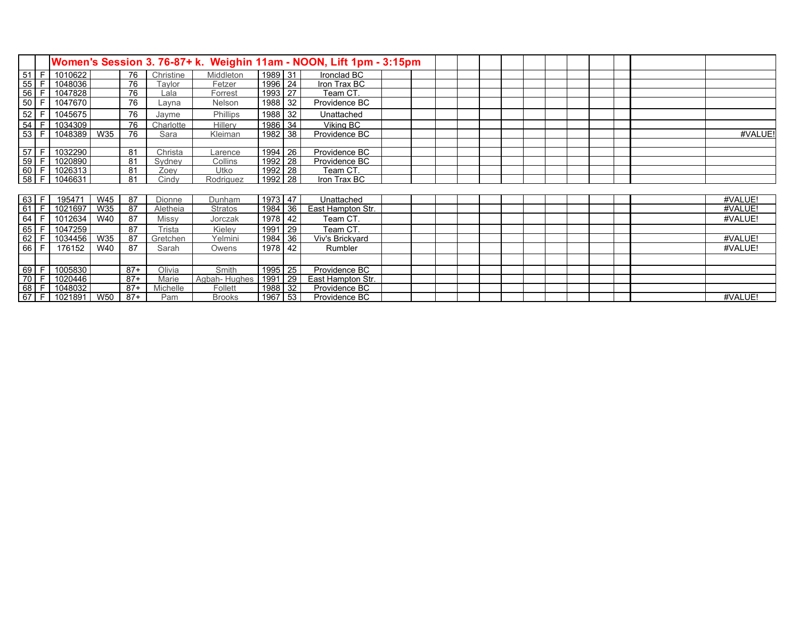| Women's Session 3. 76-87+ k. Weighin 11am - NOON, Lift 1pm - 3:15pm       |      |         |     |       |           |                  |         |    |                   |  |  |  |  |  |  |  |  |         |
|---------------------------------------------------------------------------|------|---------|-----|-------|-----------|------------------|---------|----|-------------------|--|--|--|--|--|--|--|--|---------|
| $\frac{51}{55}$                                                           | F.   | 1010622 |     | 76    | Christine | <b>Middleton</b> | 1989 31 |    | Ironclad BC       |  |  |  |  |  |  |  |  |         |
|                                                                           | F    | 1048036 |     | 76    | Tavlor    | Fetzer           | 1996    | 24 | Iron Trax BC      |  |  |  |  |  |  |  |  |         |
| 56                                                                        | E    | 1047828 |     | 76    | Lala      | Forrest          | 1993    | 27 | Team CT.          |  |  |  |  |  |  |  |  |         |
| 50                                                                        | E    | 1047670 |     | 76    | Layna     | Nelson           | 1988    | 32 | Providence BC     |  |  |  |  |  |  |  |  |         |
| 52                                                                        | F    | 1045675 |     | 76    | Jayme     | Phillips         | 1988    | 32 | Unattached        |  |  |  |  |  |  |  |  |         |
| $\overline{54}$                                                           | F.   | 1034309 |     | 76    | Charlotte | Hillerv          | 1986    | 34 | Viking BC         |  |  |  |  |  |  |  |  |         |
| $\frac{3}{53}$                                                            | E    | 1048389 | W35 | 76    | Sara      | Kleiman          | 1982    | 38 | Providence BC     |  |  |  |  |  |  |  |  | #VALUE! |
|                                                                           |      |         |     |       |           |                  |         |    |                   |  |  |  |  |  |  |  |  |         |
| 57 F                                                                      |      | 1032290 |     | 81    | Christa   | Larence          | 1994    | 26 | Providence BC     |  |  |  |  |  |  |  |  |         |
|                                                                           |      | 1020890 |     | 81    | Sydney    | Collins          | 1992    | 28 | Providence BC     |  |  |  |  |  |  |  |  |         |
|                                                                           |      | 1026313 |     | 81    | Zoey      | Utko             | 1992    | 28 | Team CT.          |  |  |  |  |  |  |  |  |         |
| $\frac{59}{60}$ F<br>58 F                                                 |      | 1046631 |     | 81    | Cindy     | Rodriguez        | 1992    | 28 | Iron Trax BC      |  |  |  |  |  |  |  |  |         |
|                                                                           |      |         |     |       |           |                  |         |    |                   |  |  |  |  |  |  |  |  |         |
| $63$ F                                                                    |      | 195471  | W45 | 87    | Dionne    | Dunham           | 1973    | 47 | Unattached        |  |  |  |  |  |  |  |  | #VALUE! |
|                                                                           |      | 1021697 | W35 | 87    | Aletheia  | <b>Stratos</b>   | 1984    | 36 | East Hampton Str. |  |  |  |  |  |  |  |  | #VALUE! |
| $\begin{array}{ c c c c }\n\hline\n61 & F \\ \hline\n64 & F\n\end{array}$ |      | 1012634 | W40 | 87    | Missy     | Jorczak          | 1978    | 42 | Team CT.          |  |  |  |  |  |  |  |  | #VALUE! |
| 65                                                                        | F.   | 1047259 |     | 87    | Trista    | Kielev           | 1991    | 29 | Team CT.          |  |  |  |  |  |  |  |  |         |
| $62$ F                                                                    |      | 1034456 | W35 | 87    | Gretchen  | Yelmini          | 1984    | 36 | Viv's Brickyard   |  |  |  |  |  |  |  |  | #VALUE! |
| 66                                                                        | l F  | 176152  | W40 | 87    | Sarah     | Owens            | 1978    | 42 | Rumbler           |  |  |  |  |  |  |  |  | #VALUE! |
|                                                                           |      |         |     |       |           |                  |         |    |                   |  |  |  |  |  |  |  |  |         |
| $\frac{69}{70}$                                                           | + F∴ | 1005830 |     | $87+$ | Olivia    | Smith            | 1995    | 25 | Providence BC     |  |  |  |  |  |  |  |  |         |
|                                                                           | E    | 1020446 |     | $87+$ | Marie     | Agbah-Hughes     | 1991    | 29 | East Hampton Str. |  |  |  |  |  |  |  |  |         |
| $\begin{array}{ c c c c }\n\hline\n68 & F \\ \hline\n67 & F\n\end{array}$ |      | 1048032 |     | $87+$ | Michelle  | Follett          | 1988    | 32 | Providence BC     |  |  |  |  |  |  |  |  |         |
|                                                                           |      | 1021891 | W50 | $87+$ | Pam       | <b>Brooks</b>    | 1967    | 53 | Providence BC     |  |  |  |  |  |  |  |  | #VALUE! |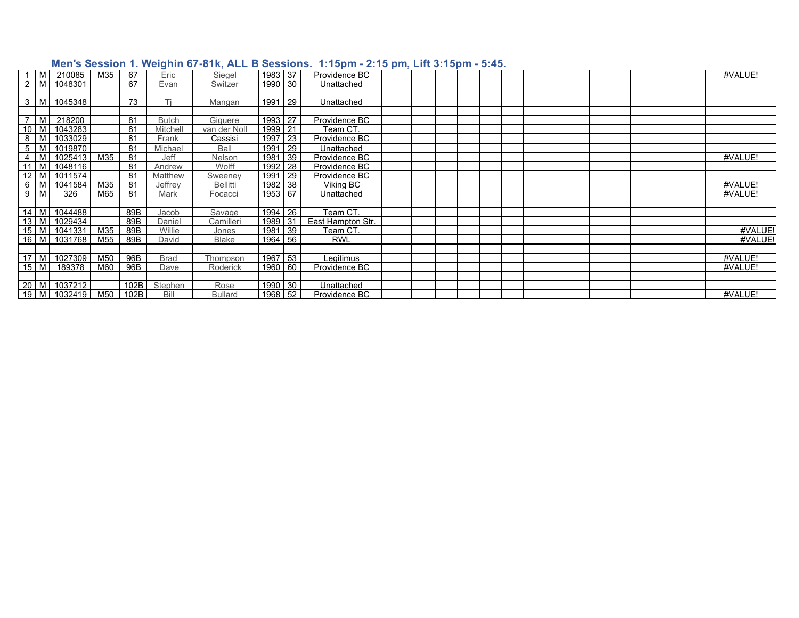|                 | <b>M</b> | 210085  | M35 | 67   | Eric         | Siegel          | 1983 37 |    | Providence BC     |  |  |  |  |  |  | #VALUE! |
|-----------------|----------|---------|-----|------|--------------|-----------------|---------|----|-------------------|--|--|--|--|--|--|---------|
| $\overline{2}$  | M        | 1048301 |     | 67   | Evan         | Switzer         | 1990 30 |    | Unattached        |  |  |  |  |  |  |         |
|                 |          |         |     |      |              |                 |         |    |                   |  |  |  |  |  |  |         |
| 3               | M        | 1045348 |     | 73   | Ti           | Mangan          | 1991    | 29 | Unattached        |  |  |  |  |  |  |         |
|                 |          |         |     |      |              |                 |         |    |                   |  |  |  |  |  |  |         |
|                 | M        | 218200  |     | 81   | <b>Butch</b> | Giquere         | 1993    | 27 | Providence BC     |  |  |  |  |  |  |         |
| 10              | M        | 1043283 |     | 81   | Mitchell     | van der Noll    | 1999    | 21 | Team CT.          |  |  |  |  |  |  |         |
| 8               | M        | 1033029 |     | 81   | Frank        | Cassisi         | 1997    | 23 | Providence BC     |  |  |  |  |  |  |         |
| 5               | M        | 1019870 |     | 81   | Michael      | Ball            | 199'    | 29 | Unattached        |  |  |  |  |  |  |         |
| 4               | M        | 1025413 | M35 | 81   | Jeff         | Nelson          | 1981    | 39 | Providence BC     |  |  |  |  |  |  | #VALUE! |
|                 | l M      | 1048116 |     | 81   | Andrew       | Wolff           | 1992    | 28 | Providence BC     |  |  |  |  |  |  |         |
| 12 <sup>°</sup> | M        | 1011574 |     | 81   | Matthew      | Sweeney         | 1991    | 29 | Providence BC     |  |  |  |  |  |  |         |
| 6               | M        | 1041584 | M35 | 81   | Jeffrev      | <b>Bellitti</b> | 1982    | 38 | Viking BC         |  |  |  |  |  |  | #VALUE! |
| 9               | M        | 326     | M65 | 81   | Mark         | Focacci         | 1953    | 67 | Unattached        |  |  |  |  |  |  | #VALUE! |
|                 |          |         |     |      |              |                 |         |    |                   |  |  |  |  |  |  |         |
|                 | $14$ M   | 1044488 |     | 89B  | Jacob        | Savage          | 1994    | 26 | Team CT.          |  |  |  |  |  |  |         |
|                 | $13$ M   | 1029434 |     | 89B  | Daniel       | Camilleri       | 1989    | 31 | East Hampton Str. |  |  |  |  |  |  |         |
|                 | $15$ M   | 1041331 | M35 | 89B  | Willie       | Jones           | 1981    | 39 | Team CT.          |  |  |  |  |  |  | #VALUE! |
|                 | 16 M     | 1031768 | M55 | 89B  | David        | <b>Blake</b>    | 1964    | 56 | <b>RWL</b>        |  |  |  |  |  |  | #VALUE! |
|                 |          |         |     |      |              |                 |         |    |                   |  |  |  |  |  |  |         |
|                 | 17 M     | 1027309 | M50 | 96B  | <b>Brad</b>  | Thompson        | 1967    | 53 | Legitimus         |  |  |  |  |  |  | #VALUE! |
|                 | $15$ M   | 189378  | M60 | 96B  | Dave         | Roderick        | 1960    | 60 | Providence BC     |  |  |  |  |  |  | #VALUE! |
|                 |          |         |     |      |              |                 |         |    |                   |  |  |  |  |  |  |         |
|                 | 20 M     | 1037212 |     | 102B | Stephen      | Rose            | 1990    | 30 | Unattached        |  |  |  |  |  |  |         |
|                 | 19 M     | 1032419 | M50 | 102B | Bill         | <b>Bullard</b>  | 1968 52 |    | Providence BC     |  |  |  |  |  |  | #VALUE! |

## **Men's Session 1. Weighin 67-81k, ALL B Sessions. 1:15pm - 2:15 pm, Lift 3:15pm - 5:45.**